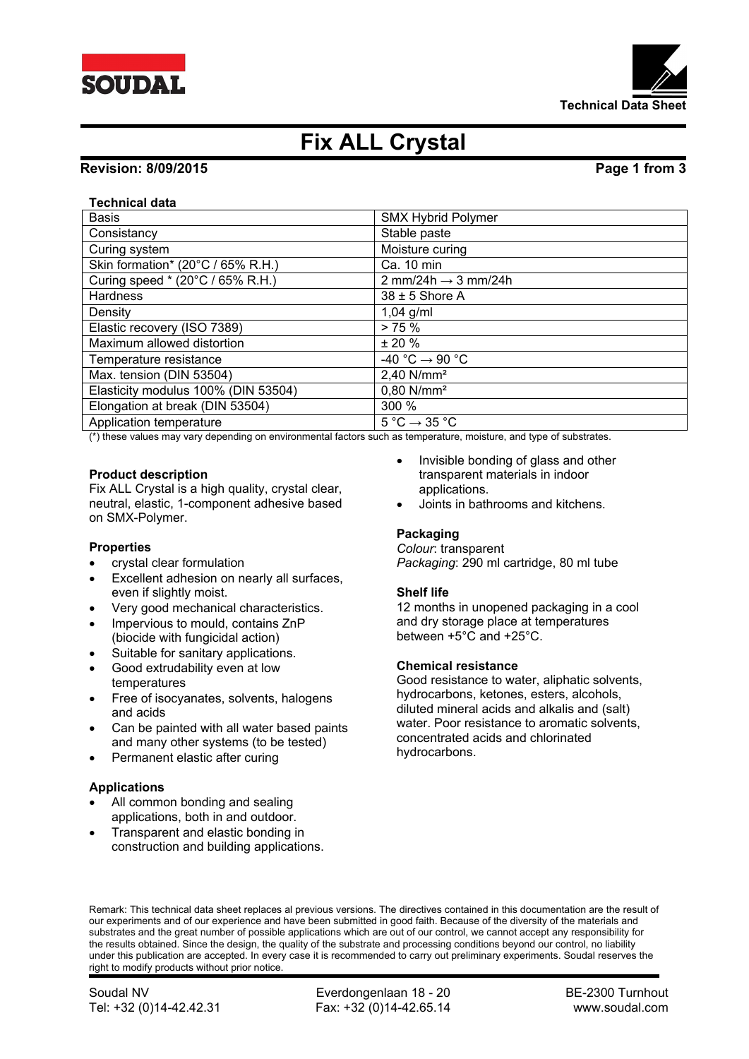



# **Fix ALL Crystal**

# **Revision: 8/09/2015 Page 1 from 3**

### **Technical data**

| <b>Basis</b>                        | <b>SMX Hybrid Polymer</b>                   |
|-------------------------------------|---------------------------------------------|
| Consistancy                         | Stable paste                                |
| Curing system                       | Moisture curing                             |
| Skin formation* (20°C / 65% R.H.)   | Ca. 10 min                                  |
| Curing speed * (20°C / 65% R.H.)    | 2 mm/24h $\rightarrow$ 3 mm/24h             |
| <b>Hardness</b>                     | $38 \pm 5$ Shore A                          |
| Density                             | $1,04$ g/ml                                 |
| Elastic recovery (ISO 7389)         | > 75%                                       |
| Maximum allowed distortion          | ± 20%                                       |
| Temperature resistance              | $-40 °C \rightarrow 90 °C$                  |
| Max. tension (DIN 53504)            | 2,40 N/mm <sup>2</sup>                      |
| Elasticity modulus 100% (DIN 53504) | $0.80$ N/mm <sup>2</sup>                    |
| Elongation at break (DIN 53504)     | 300 %                                       |
| Application temperature             | $5^{\circ}$ C $\rightarrow$ 35 $^{\circ}$ C |

(\*) these values may vary depending on environmental factors such as temperature, moisture, and type of substrates.

### **Product description**

Fix ALL Crystal is a high quality, crystal clear, neutral, elastic, 1-component adhesive based on SMX-Polymer.

#### **Properties**

- crystal clear formulation
- Excellent adhesion on nearly all surfaces, even if slightly moist.
- Very good mechanical characteristics.
- Impervious to mould, contains ZnP (biocide with fungicidal action)
- Suitable for sanitary applications.
- Good extrudability even at low temperatures
- Free of isocyanates, solvents, halogens and acids
- Can be painted with all water based paints and many other systems (to be tested)
- Permanent elastic after curing

#### **Applications**

- All common bonding and sealing applications, both in and outdoor.
- Transparent and elastic bonding in construction and building applications.
- Invisible bonding of glass and other transparent materials in indoor applications.
- Joints in bathrooms and kitchens.

## **Packaging**

*Colour*: transparent *Packaging*: 290 ml cartridge, 80 ml tube

#### **Shelf life**

12 months in unopened packaging in a cool and dry storage place at temperatures between +5°C and +25°C.

#### **Chemical resistance**

Good resistance to water, aliphatic solvents, hydrocarbons, ketones, esters, alcohols, diluted mineral acids and alkalis and (salt) water. Poor resistance to aromatic solvents, concentrated acids and chlorinated hydrocarbons.

Remark: This technical data sheet replaces al previous versions. The directives contained in this documentation are the result of our experiments and of our experience and have been submitted in good faith. Because of the diversity of the materials and substrates and the great number of possible applications which are out of our control, we cannot accept any responsibility for the results obtained. Since the design, the quality of the substrate and processing conditions beyond our control, no liability under this publication are accepted. In every case it is recommended to carry out preliminary experiments. Soudal reserves the right to modify products without prior notice.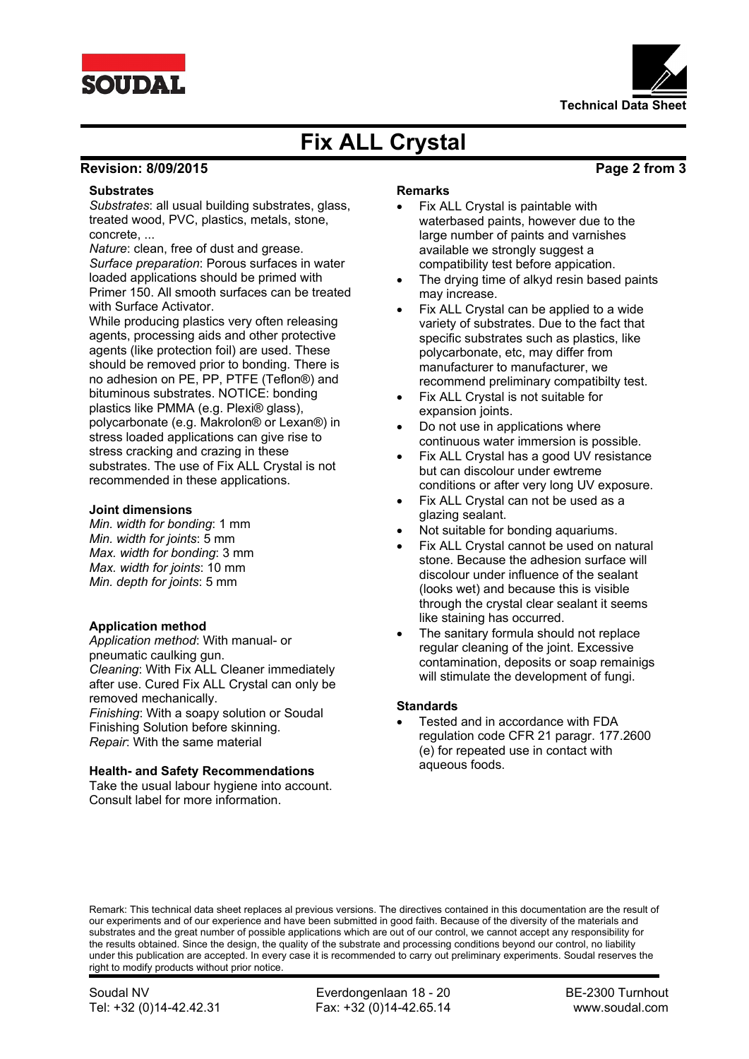



# **Fix ALL Crystal**

# **Revision: 8/09/2015 Page 2 from 3**

#### **Substrates**

*Substrates*: all usual building substrates, glass, treated wood, PVC, plastics, metals, stone, concrete, ...

*Nature*: clean, free of dust and grease. *Surface preparation*: Porous surfaces in water loaded applications should be primed with Primer 150. All smooth surfaces can be treated with Surface Activator.

While producing plastics very often releasing agents, processing aids and other protective agents (like protection foil) are used. These should be removed prior to bonding. There is no adhesion on PE, PP, PTFE (Teflon®) and bituminous substrates. NOTICE: bonding plastics like PMMA (e.g. Plexi® glass), polycarbonate (e.g. Makrolon® or Lexan®) in stress loaded applications can give rise to stress cracking and crazing in these substrates. The use of Fix ALL Crystal is not recommended in these applications.

#### **Joint dimensions**

*Min. width for bonding*: 1 mm *Min. width for joints*: 5 mm *Max. width for bonding*: 3 mm *Max. width for joints*: 10 mm *Min. depth for joints*: 5 mm

## **Application method**

*Application method*: With manual- or pneumatic caulking gun. *Cleaning*: With Fix ALL Cleaner immediately after use. Cured Fix ALL Crystal can only be removed mechanically. *Finishing*: With a soapy solution or Soudal

Finishing Solution before skinning. *Repair*: With the same material

## **Health- and Safety Recommendations**

Take the usual labour hygiene into account. Consult label for more information.

#### **Remarks**

- Fix ALL Crystal is paintable with waterbased paints, however due to the large number of paints and varnishes available we strongly suggest a compatibility test before appication.
- The drying time of alkyd resin based paints may increase.
- Fix ALL Crystal can be applied to a wide variety of substrates. Due to the fact that specific substrates such as plastics, like polycarbonate, etc, may differ from manufacturer to manufacturer, we recommend preliminary compatibilty test.
- Fix ALL Crystal is not suitable for expansion joints.
- Do not use in applications where continuous water immersion is possible.
- Fix ALL Crystal has a good UV resistance but can discolour under ewtreme conditions or after very long UV exposure.
- Fix ALL Crystal can not be used as a glazing sealant.
- Not suitable for bonding aquariums.
- Fix ALL Crystal cannot be used on natural stone. Because the adhesion surface will discolour under influence of the sealant (looks wet) and because this is visible through the crystal clear sealant it seems like staining has occurred.
- The sanitary formula should not replace regular cleaning of the joint. Excessive contamination, deposits or soap remainigs will stimulate the development of fungi.

#### **Standards**

 Tested and in accordance with FDA regulation code CFR 21 paragr. 177.2600 (e) for repeated use in contact with aqueous foods.

Remark: This technical data sheet replaces al previous versions. The directives contained in this documentation are the result of our experiments and of our experience and have been submitted in good faith. Because of the diversity of the materials and substrates and the great number of possible applications which are out of our control, we cannot accept any responsibility for the results obtained. Since the design, the quality of the substrate and processing conditions beyond our control, no liability under this publication are accepted. In every case it is recommended to carry out preliminary experiments. Soudal reserves the right to modify products without prior notice.

Soudal NV Everdongenlaan 18 - 20 BE-2300 Turnhout<br>Tel: +32 (0)14-42.42.31 Fax: +32 (0)14-42.65.14 www.soudal.com

Fax: +32 (0)14-42.65.14 www.soudal.com